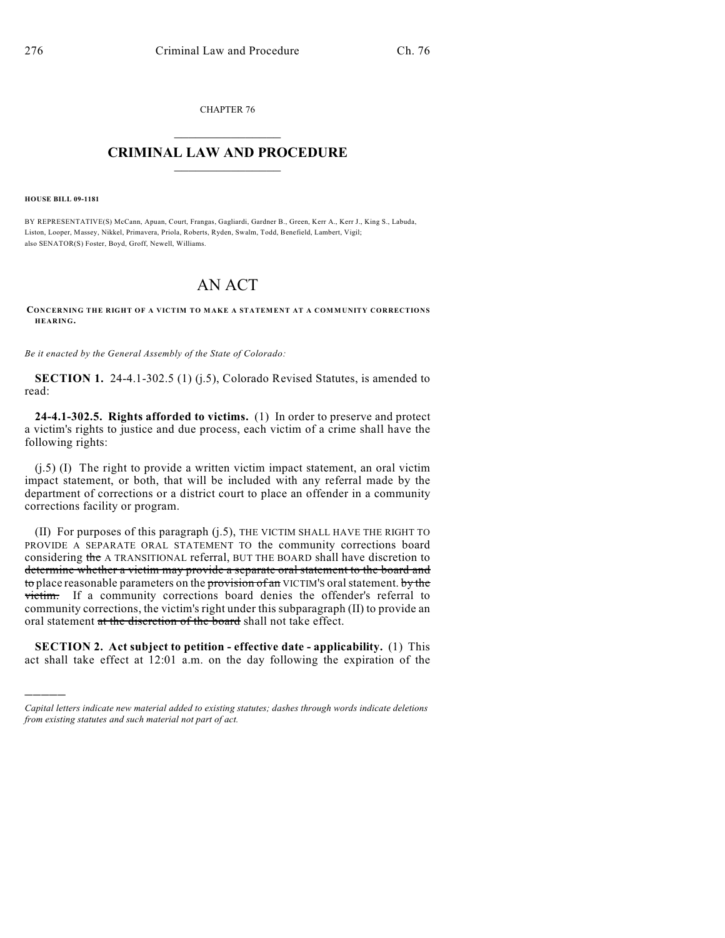CHAPTER 76  $\mathcal{L}_\text{max}$  . The set of the set of the set of the set of the set of the set of the set of the set of the set of the set of the set of the set of the set of the set of the set of the set of the set of the set of the set

## **CRIMINAL LAW AND PROCEDURE**  $\frac{1}{2}$  ,  $\frac{1}{2}$  ,  $\frac{1}{2}$  ,  $\frac{1}{2}$  ,  $\frac{1}{2}$  ,  $\frac{1}{2}$  ,  $\frac{1}{2}$

**HOUSE BILL 09-1181**

)))))

BY REPRESENTATIVE(S) McCann, Apuan, Court, Frangas, Gagliardi, Gardner B., Green, Kerr A., Kerr J., King S., Labuda, Liston, Looper, Massey, Nikkel, Primavera, Priola, Roberts, Ryden, Swalm, Todd, Benefield, Lambert, Vigil; also SENATOR(S) Foster, Boyd, Groff, Newell, Williams.

## AN ACT

**CONCERNING THE RIGHT OF A VICTIM TO MAKE A STATEMENT AT A COMMUNITY CORRECTIONS HEARING.**

*Be it enacted by the General Assembly of the State of Colorado:*

**SECTION 1.** 24-4.1-302.5 (1) (j.5), Colorado Revised Statutes, is amended to read:

**24-4.1-302.5. Rights afforded to victims.** (1) In order to preserve and protect a victim's rights to justice and due process, each victim of a crime shall have the following rights:

(j.5) (I) The right to provide a written victim impact statement, an oral victim impact statement, or both, that will be included with any referral made by the department of corrections or a district court to place an offender in a community corrections facility or program.

(II) For purposes of this paragraph (j.5), THE VICTIM SHALL HAVE THE RIGHT TO PROVIDE A SEPARATE ORAL STATEMENT TO the community corrections board considering the A TRANSITIONAL referral, BUT THE BOARD shall have discretion to determine whether a victim may provide a separate oral statement to the board and to place reasonable parameters on the provision of an VICTIM's oral statement. by the victim. If a community corrections board denies the offender's referral to community corrections, the victim's right under this subparagraph (II) to provide an oral statement at the discretion of the board shall not take effect.

**SECTION 2. Act subject to petition - effective date - applicability.** (1) This act shall take effect at 12:01 a.m. on the day following the expiration of the

*Capital letters indicate new material added to existing statutes; dashes through words indicate deletions from existing statutes and such material not part of act.*